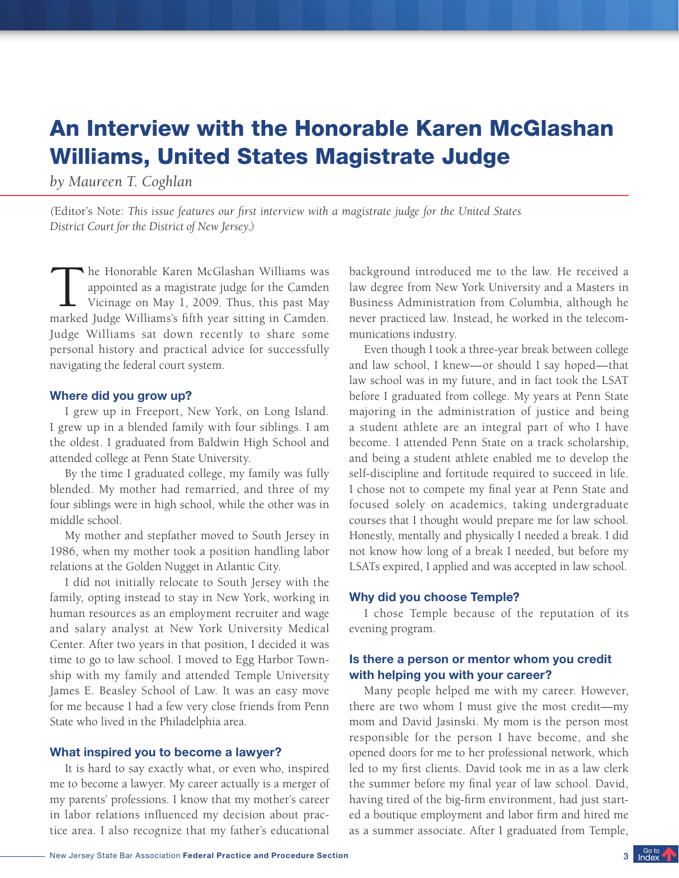# An Interview with the Honorable Karen McGlashan Williams, United States Magistrate Judge

*by Maureen T. Coghlan*

*(*Editor's Note: *This issue features our first interview with a magistrate judge for the United States District Court for the District of New Jersey.)*

The Honorable Karen McGlashan Williams was<br>appointed as a magistrate judge for the Camden<br>Vicinage on May 1, 2009. Thus, this past May<br>marked Judge Williams's fifth year sitting in Camden. he Honorable Karen McGlashan Williams was appointed as a magistrate judge for the Camden Vicinage on May 1, 2009. Thus, this past May Judge Williams sat down recently to share some personal history and practical advice for successfully navigating the federal court system.

#### Where did you grow up?

I grew up in Freeport, New York, on Long Island. I grew up in a blended family with four siblings. I am the oldest. I graduated from Baldwin High School and attended college at Penn State University.

By the time I graduated college, my family was fully blended. My mother had remarried, and three of my four siblings were in high school, while the other was in middle school.

My mother and stepfather moved to South Jersey in 1986, when my mother took a position handling labor relations at the Golden Nugget in Atlantic City.

I did not initially relocate to South Jersey with the family, opting instead to stay in New York, working in human resources as an employment recruiter and wage and salary analyst at New York University Medical Center. After two years in that position, I decided it was time to go to law school. I moved to Egg Harbor Township with my family and attended Temple University James E. Beasley School of Law. It was an easy move for me because I had a few very close friends from Penn State who lived in the Philadelphia area.

#### What inspired you to become a lawyer?

It is hard to say exactly what, or even who, inspired me to become a lawyer. My career actually is a merger of my parents' professions. I know that my mother's career in labor relations influenced my decision about practice area. I also recognize that my father's educational background introduced me to the law. He received a law degree from New York University and a Masters in Business Administration from Columbia, although he never practiced law. Instead, he worked in the telecommunications industry.

Even though I took a three-year break between college and law school, I knew—or should I say hoped—that law school was in my future, and in fact took the LSAT before I graduated from college. My years at Penn State majoring in the administration of justice and being a student athlete are an integral part of who I have become. I attended Penn State on a track scholarship, and being a student athlete enabled me to develop the self-discipline and fortitude required to succeed in life. I chose not to compete my final year at Penn State and focused solely on academics, taking undergraduate courses that I thought would prepare me for law school. Honestly, mentally and physically I needed a break. I did not know how long of a break I needed, but before my LSATs expired, I applied and was accepted in law school.

#### Why did you choose Temple?

I chose Temple because of the reputation of its evening program.

## Is there a person or mentor whom you credit with helping you with your career?

Many people helped me with my career. However, there are two whom I must give the most credit—my mom and David Jasinski. My mom is the person most responsible for the person I have become, and she opened doors for me to her professional network, which led to my first clients. David took me in as a law clerk the summer before my final year of law school. David, having tired of the big-firm environment, had just started a boutique employment and labor firm and hired me as a summer associate. After I graduated from Temple,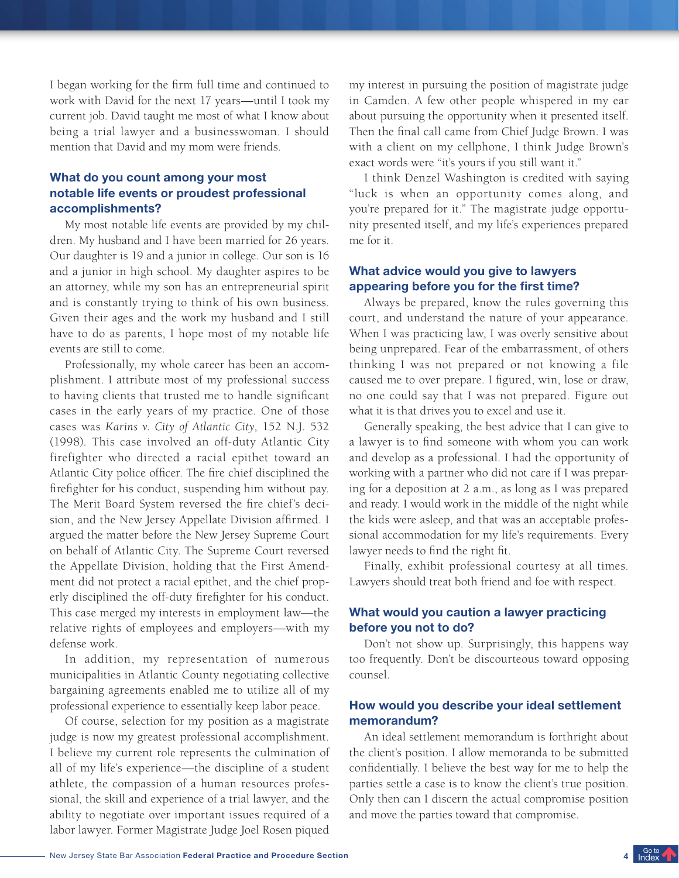I began working for the firm full time and continued to work with David for the next 17 years—until I took my current job. David taught me most of what I know about being a trial lawyer and a businesswoman. I should mention that David and my mom were friends.

# What do you count among your most notable life events or proudest professional accomplishments?

My most notable life events are provided by my children. My husband and I have been married for 26 years. Our daughter is 19 and a junior in college. Our son is 16 and a junior in high school. My daughter aspires to be an attorney, while my son has an entrepreneurial spirit and is constantly trying to think of his own business. Given their ages and the work my husband and I still have to do as parents, I hope most of my notable life events are still to come.

Professionally, my whole career has been an accomplishment. I attribute most of my professional success to having clients that trusted me to handle significant cases in the early years of my practice. One of those cases was *Karins v. City of Atlantic City*, 152 N.J. 532 (1998). This case involved an off-duty Atlantic City firefighter who directed a racial epithet toward an Atlantic City police officer. The fire chief disciplined the firefighter for his conduct, suspending him without pay. The Merit Board System reversed the fire chief's decision, and the New Jersey Appellate Division affirmed. I argued the matter before the New Jersey Supreme Court on behalf of Atlantic City. The Supreme Court reversed the Appellate Division, holding that the First Amendment did not protect a racial epithet, and the chief properly disciplined the off-duty firefighter for his conduct. This case merged my interests in employment law—the relative rights of employees and employers—with my defense work.

In addition, my representation of numerous municipalities in Atlantic County negotiating collective bargaining agreements enabled me to utilize all of my professional experience to essentially keep labor peace.

Of course, selection for my position as a magistrate judge is now my greatest professional accomplishment. I believe my current role represents the culmination of all of my life's experience—the discipline of a student athlete, the compassion of a human resources professional, the skill and experience of a trial lawyer, and the ability to negotiate over important issues required of a labor lawyer. Former Magistrate Judge Joel Rosen piqued

my interest in pursuing the position of magistrate judge in Camden. A few other people whispered in my ear about pursuing the opportunity when it presented itself. Then the final call came from Chief Judge Brown. I was with a client on my cellphone, I think Judge Brown's exact words were "it's yours if you still want it."

I think Denzel Washington is credited with saying "luck is when an opportunity comes along, and you're prepared for it." The magistrate judge opportunity presented itself, and my life's experiences prepared me for it.

## What advice would you give to lawyers appearing before you for the first time?

Always be prepared, know the rules governing this court, and understand the nature of your appearance. When I was practicing law, I was overly sensitive about being unprepared. Fear of the embarrassment, of others thinking I was not prepared or not knowing a file caused me to over prepare. I figured, win, lose or draw, no one could say that I was not prepared. Figure out what it is that drives you to excel and use it.

Generally speaking, the best advice that I can give to a lawyer is to find someone with whom you can work and develop as a professional. I had the opportunity of working with a partner who did not care if I was preparing for a deposition at 2 a.m., as long as I was prepared and ready. I would work in the middle of the night while the kids were asleep, and that was an acceptable professional accommodation for my life's requirements. Every lawyer needs to find the right fit.

Finally, exhibit professional courtesy at all times. Lawyers should treat both friend and foe with respect.

# What would you caution a lawyer practicing before you not to do?

Don't not show up. Surprisingly, this happens way too frequently. Don't be discourteous toward opposing counsel.

## How would you describe your ideal settlement memorandum?

An ideal settlement memorandum is forthright about the client's position. I allow memoranda to be submitted confidentially. I believe the best way for me to help the parties settle a case is to know the client's true position. Only then can I discern the actual compromise position and move the parties toward that compromise.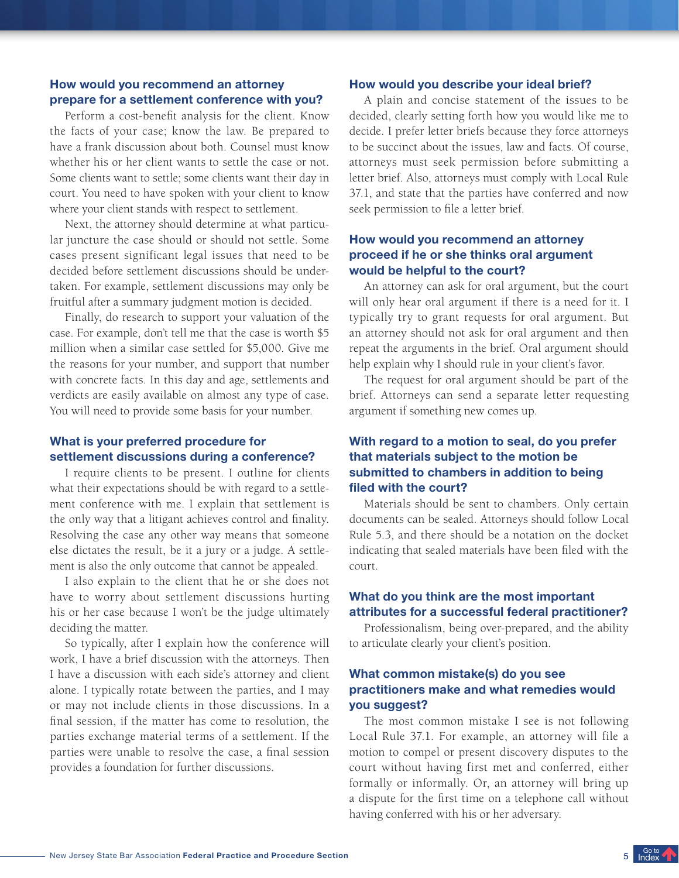# How would you recommend an attorney prepare for a settlement conference with you?

Perform a cost-benefit analysis for the client. Know the facts of your case; know the law. Be prepared to have a frank discussion about both. Counsel must know whether his or her client wants to settle the case or not. Some clients want to settle; some clients want their day in court. You need to have spoken with your client to know where your client stands with respect to settlement.

Next, the attorney should determine at what particular juncture the case should or should not settle. Some cases present significant legal issues that need to be decided before settlement discussions should be undertaken. For example, settlement discussions may only be fruitful after a summary judgment motion is decided.

Finally, do research to support your valuation of the case. For example, don't tell me that the case is worth \$5 million when a similar case settled for \$5,000. Give me the reasons for your number, and support that number with concrete facts. In this day and age, settlements and verdicts are easily available on almost any type of case. You will need to provide some basis for your number.

## What is your preferred procedure for settlement discussions during a conference?

I require clients to be present. I outline for clients what their expectations should be with regard to a settlement conference with me. I explain that settlement is the only way that a litigant achieves control and finality. Resolving the case any other way means that someone else dictates the result, be it a jury or a judge. A settlement is also the only outcome that cannot be appealed.

I also explain to the client that he or she does not have to worry about settlement discussions hurting his or her case because I won't be the judge ultimately deciding the matter.

So typically, after I explain how the conference will work, I have a brief discussion with the attorneys. Then I have a discussion with each side's attorney and client alone. I typically rotate between the parties, and I may or may not include clients in those discussions. In a final session, if the matter has come to resolution, the parties exchange material terms of a settlement. If the parties were unable to resolve the case, a final session provides a foundation for further discussions.

#### How would you describe your ideal brief?

A plain and concise statement of the issues to be decided, clearly setting forth how you would like me to decide. I prefer letter briefs because they force attorneys to be succinct about the issues, law and facts. Of course, attorneys must seek permission before submitting a letter brief. Also, attorneys must comply with Local Rule 37.1, and state that the parties have conferred and now seek permission to file a letter brief.

## How would you recommend an attorney proceed if he or she thinks oral argument would be helpful to the court?

An attorney can ask for oral argument, but the court will only hear oral argument if there is a need for it. I typically try to grant requests for oral argument. But an attorney should not ask for oral argument and then repeat the arguments in the brief. Oral argument should help explain why I should rule in your client's favor.

The request for oral argument should be part of the brief. Attorneys can send a separate letter requesting argument if something new comes up.

# With regard to a motion to seal, do you prefer that materials subject to the motion be submitted to chambers in addition to being filed with the court?

Materials should be sent to chambers. Only certain documents can be sealed. Attorneys should follow Local Rule 5.3, and there should be a notation on the docket indicating that sealed materials have been filed with the court.

## What do you think are the most important attributes for a successful federal practitioner?

Professionalism, being over-prepared, and the ability to articulate clearly your client's position.

## What common mistake(s) do you see practitioners make and what remedies would you suggest?

The most common mistake I see is not following Local Rule 37.1. For example, an attorney will file a motion to compel or present discovery disputes to the court without having first met and conferred, either formally or informally. Or, an attorney will bring up a dispute for the first time on a telephone call without having conferred with his or her adversary.